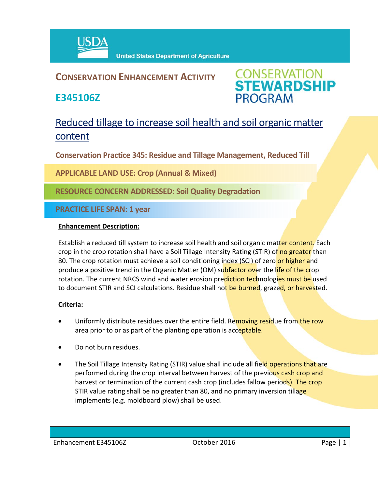

## **CONSERVATION ENHANCEMENT ACTIVITY**

**E345106Z**



# Reduced tillage to increase soil health and soil organic matter content

**Conservation Practice 345: Residue and Tillage Management, Reduced Till** 

**APPLICABLE LAND USE: Crop (Annual & Mixed)**

**RESOURCE CONCERN ADDRESSED: Soil Quality Degradation**

**PRACTICE LIFE SPAN: 1 year**

#### **Enhancement Description:**

Establish a reduced till system to increase soil health and soil organic matter content. Each crop in the crop rotation shall have a Soil Tillage Intensity Rating (STIR) of no greater than 80. The crop rotation must achieve a soil conditioning index (SCI) of zero or higher and produce a positive trend in the Organic Matter (OM) subfactor over the life of the crop rotation. The current NRCS wind and water erosion prediction technologies must be used to document STIR and SCI calculations. Residue shall not be burned, grazed, or harvested.

### **Criteria:**

- Uniformly distribute residues over the entire field. Removing residue from the row area prior to or as part of the planting operation is acceptable.
- Do not burn residues.
- The Soil Tillage Intensity Rating (STIR) value shall include all field operations that are performed during the crop interval between harvest of the previous cash crop and harvest or termination of the current cash crop (includes fallow periods). The crop STIR value rating shall be no greater than 80, and no primary inversion tillage implements (e.g. moldboard plow) shall be used.

| Enhancement E345106Z | 2016<br>October | Page |
|----------------------|-----------------|------|